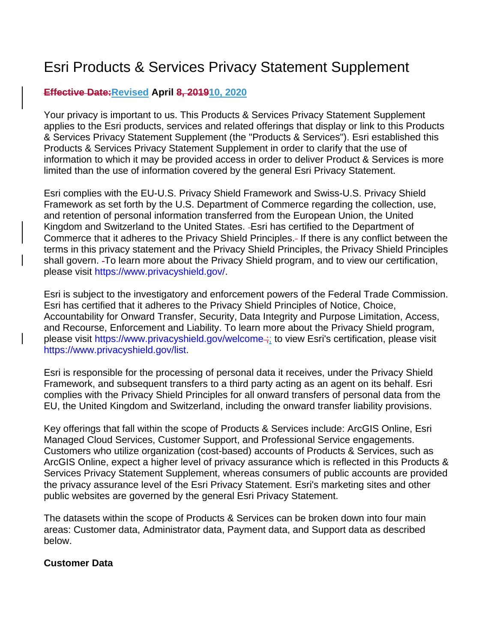# Esri Products & Services Privacy Statement Supplement

## **Effective Date:Revised April 8, 201910, 2020**

Your privacy is important to us. This Products & Services Privacy Statement Supplement applies to the Esri products, services and related offerings that display or link to this Products & Services Privacy Statement Supplement (the "Products & Services"). Esri established this Products & Services Privacy Statement Supplement in order to clarify that the use of information to which it may be provided access in order to deliver Product & Services is more limited than the use of information covered by the general Esri Privacy Statement.

Esri complies with the EU-U.S. Privacy Shield Framework and Swiss-U.S. Privacy Shield Framework as set forth by the U.S. Department of Commerce regarding the collection, use, and retention of personal information transferred from the European Union, the United Kingdom and Switzerland to the United States. Esri has certified to the Department of Commerce that it adheres to the Privacy Shield Principles. If there is any conflict between the terms in this privacy statement and the Privacy Shield Principles, the Privacy Shield Principles shall govern. To learn more about the Privacy Shield program, and to view our certification, please visit [https://www.privacyshield.gov/.](https://www.privacyshield.gov/)

Esri is subject to the investigatory and enforcement powers of the Federal Trade Commission. Esri has certified that it adheres to the Privacy Shield Principles of Notice, Choice, Accountability for Onward Transfer, Security, Data Integrity and Purpose Limitation, Access, and Recourse, Enforcement and Liability. To learn more about the Privacy Shield program, please visit <https://www.privacyshield.gov/welcome><sub>;</sub>; to view Esri's certification, please visit [https://www.privacyshield.gov/list.](https://www.privacyshield.gov/list)

Esri is responsible for the processing of personal data it receives, under the Privacy Shield Framework, and subsequent transfers to a third party acting as an agent on its behalf. Esri complies with the Privacy Shield Principles for all onward transfers of personal data from the EU, the United Kingdom and Switzerland, including the onward transfer liability provisions.

Key offerings that fall within the scope of Products & Services include: ArcGIS Online, Esri Managed Cloud Services, Customer Support, and Professional Service engagements. Customers who utilize organization (cost-based) accounts of Products & Services, such as ArcGIS Online, expect a higher level of privacy assurance which is reflected in this Products & Services Privacy Statement Supplement, whereas consumers of public accounts are provided the privacy assurance level of the Esri Privacy Statement. Esri's marketing sites and other public websites are governed by the general Esri Privacy Statement.

The datasets within the scope of Products & Services can be broken down into four main areas: Customer data, Administrator data, Payment data, and Support data as described below.

#### **Customer Data**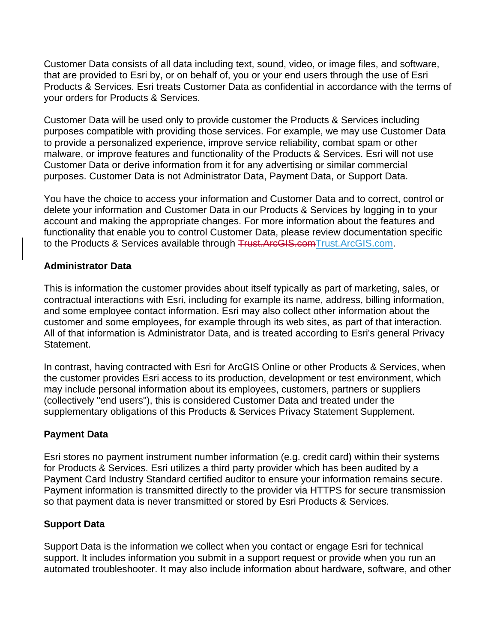Customer Data consists of all data including text, sound, video, or image files, and software, that are provided to Esri by, or on behalf of, you or your end users through the use of Esri Products & Services. Esri treats Customer Data as confidential in accordance with the terms of your orders for Products & Services.

Customer Data will be used only to provide customer the Products & Services including purposes compatible with providing those services. For example, we may use Customer Data to provide a personalized experience, improve service reliability, combat spam or other malware, or improve features and functionality of the Products & Services. Esri will not use Customer Data or derive information from it for any advertising or similar commercial purposes. Customer Data is not Administrator Data, Payment Data, or Support Data.

You have the choice to access your information and Customer Data and to correct, control or delete your information and Customer Data in our Products & Services by logging in to your account and making the appropriate changes. For more information about the features and functionality that enable you to control Customer Data, please review documentation specific to the Products & Services available through Trust.ArcGIS.co[mTrust.ArcGIS.com.](https://trust.arcgis.com/)

## **Administrator Data**

This is information the customer provides about itself typically as part of marketing, sales, or contractual interactions with Esri, including for example its name, address, billing information, and some employee contact information. Esri may also collect other information about the customer and some employees, for example through its web sites, as part of that interaction. All of that information is Administrator Data, and is treated according to Esri's general Privacy Statement.

In contrast, having contracted with Esri for ArcGIS Online or other Products & Services, when the customer provides Esri access to its production, development or test environment, which may include personal information about its employees, customers, partners or suppliers (collectively "end users"), this is considered Customer Data and treated under the supplementary obligations of this Products & Services Privacy Statement Supplement.

#### **Payment Data**

Esri stores no payment instrument number information (e.g. credit card) within their systems for Products & Services. Esri utilizes a third party provider which has been audited by a Payment Card Industry Standard certified auditor to ensure your information remains secure. Payment information is transmitted directly to the provider via HTTPS for secure transmission so that payment data is never transmitted or stored by Esri Products & Services.

# **Support Data**

Support Data is the information we collect when you contact or engage Esri for technical support. It includes information you submit in a support request or provide when you run an automated troubleshooter. It may also include information about hardware, software, and other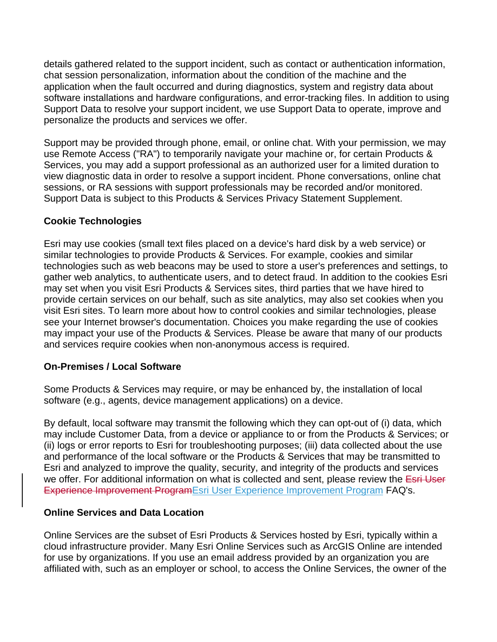details gathered related to the support incident, such as contact or authentication information, chat session personalization, information about the condition of the machine and the application when the fault occurred and during diagnostics, system and registry data about software installations and hardware configurations, and error-tracking files. In addition to using Support Data to resolve your support incident, we use Support Data to operate, improve and personalize the products and services we offer.

Support may be provided through phone, email, or online chat. With your permission, we may use Remote Access ("RA") to temporarily navigate your machine or, for certain Products & Services, you may add a support professional as an authorized user for a limited duration to view diagnostic data in order to resolve a support incident. Phone conversations, online chat sessions, or RA sessions with support professionals may be recorded and/or monitored. Support Data is subject to this Products & Services Privacy Statement Supplement.

# **Cookie Technologies**

Esri may use cookies (small text files placed on a device's hard disk by a web service) or similar technologies to provide Products & Services. For example, cookies and similar technologies such as web beacons may be used to store a user's preferences and settings, to gather web analytics, to authenticate users, and to detect fraud. In addition to the cookies Esri may set when you visit Esri Products & Services sites, third parties that we have hired to provide certain services on our behalf, such as site analytics, may also set cookies when you visit Esri sites. To learn more about how to control cookies and similar technologies, please see your Internet browser's documentation. Choices you make regarding the use of cookies may impact your use of the Products & Services. Please be aware that many of our products and services require cookies when non-anonymous access is required.

#### **On-Premises / Local Software**

Some Products & Services may require, or may be enhanced by, the installation of local software (e.g., agents, device management applications) on a device.

By default, local software may transmit the following which they can opt-out of (i) data, which may include Customer Data, from a device or appliance to or from the Products & Services; or (ii) logs or error reports to Esri for troubleshooting purposes; (iii) data collected about the use and performance of the local software or the Products & Services that may be transmitted to Esri and analyzed to improve the quality, security, and integrity of the products and services we offer. For additional information on what is collected and sent, please review the Esri User Experience Improvement ProgramEsri User Experience [Improvement](https://support.esri.com/technical-article/000011271) Program FAQ's.

#### **Online Services and Data Location**

Online Services are the subset of Esri Products & Services hosted by Esri, typically within a cloud infrastructure provider. Many Esri Online Services such as ArcGIS Online are intended for use by organizations. If you use an email address provided by an organization you are affiliated with, such as an employer or school, to access the Online Services, the owner of the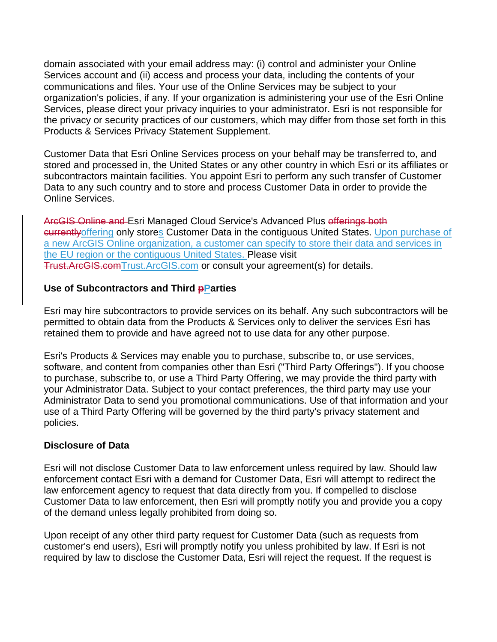domain associated with your email address may: (i) control and administer your Online Services account and (ii) access and process your data, including the contents of your communications and files. Your use of the Online Services may be subject to your organization's policies, if any. If your organization is administering your use of the Esri Online Services, please direct your privacy inquiries to your administrator. Esri is not responsible for the privacy or security practices of our customers, which may differ from those set forth in this Products & Services Privacy Statement Supplement.

Customer Data that Esri Online Services process on your behalf may be transferred to, and stored and processed in, the United States or any other country in which Esri or its affiliates or subcontractors maintain facilities. You appoint Esri to perform any such transfer of Customer Data to any such country and to store and process Customer Data in order to provide the Online Services.

ArcGIS Online and Esri Managed Cloud Service's Advanced Plus offerings both currentlyoffering only stores Customer Data in the contiguous United States. Upon purchase of a new ArcGIS Online organization, a customer can specify to store their data and services in the EU region or the contiguous United States. Please visit Trust.ArcGIS.co[mTrust.ArcGIS.com](https://trust.arcgis.com/) or consult your agreement(s) for details.

## **Use of Subcontractors and Third pParties**

Esri may hire subcontractors to provide services on its behalf. Any such subcontractors will be permitted to obtain data from the Products & Services only to deliver the services Esri has retained them to provide and have agreed not to use data for any other purpose.

Esri's Products & Services may enable you to purchase, subscribe to, or use services, software, and content from companies other than Esri ("Third Party Offerings"). If you choose to purchase, subscribe to, or use a Third Party Offering, we may provide the third party with your Administrator Data. Subject to your contact preferences, the third party may use your Administrator Data to send you promotional communications. Use of that information and your use of a Third Party Offering will be governed by the third party's privacy statement and policies.

#### **Disclosure of Data**

Esri will not disclose Customer Data to law enforcement unless required by law. Should law enforcement contact Esri with a demand for Customer Data, Esri will attempt to redirect the law enforcement agency to request that data directly from you. If compelled to disclose Customer Data to law enforcement, then Esri will promptly notify you and provide you a copy of the demand unless legally prohibited from doing so.

Upon receipt of any other third party request for Customer Data (such as requests from customer's end users), Esri will promptly notify you unless prohibited by law. If Esri is not required by law to disclose the Customer Data, Esri will reject the request. If the request is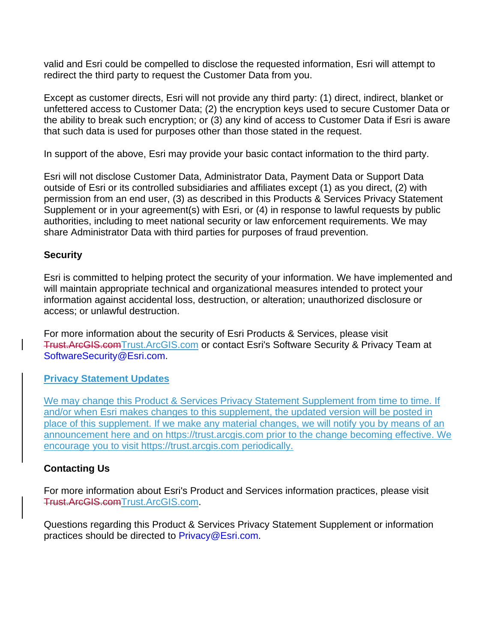valid and Esri could be compelled to disclose the requested information, Esri will attempt to redirect the third party to request the Customer Data from you.

Except as customer directs, Esri will not provide any third party: (1) direct, indirect, blanket or unfettered access to Customer Data; (2) the encryption keys used to secure Customer Data or the ability to break such encryption; or (3) any kind of access to Customer Data if Esri is aware that such data is used for purposes other than those stated in the request.

In support of the above, Esri may provide your basic contact information to the third party.

Esri will not disclose Customer Data, Administrator Data, Payment Data or Support Data outside of Esri or its controlled subsidiaries and affiliates except (1) as you direct, (2) with permission from an end user, (3) as described in this Products & Services Privacy Statement Supplement or in your agreement(s) with Esri, or (4) in response to lawful requests by public authorities, including to meet national security or law enforcement requirements. We may share Administrator Data with third parties for purposes of fraud prevention.

#### **Security**

Esri is committed to helping protect the security of your information. We have implemented and will maintain appropriate technical and organizational measures intended to protect your information against accidental loss, destruction, or alteration; unauthorized disclosure or access; or unlawful destruction.

For more information about the security of Esri Products & Services, please visit Trust.ArcGIS.co[mTrust.ArcGIS.com](https://trust.arcgis.com/) or contact Esri's Software Security & Privacy Team at [SoftwareSecurity@Esri.com.](mailto:SoftwareSecurity@Esri.com)

#### **Privacy Statement Updates**

We may change this Product & Services Privacy Statement Supplement from time to time. If and/or when Esri makes changes to this supplement, the updated version will be posted in place of this supplement. If we make any material changes, we will notify you by means of an announcement here and on [https://trust.arcgis.com](https://trust.arcgis.com/) prior to the change becoming effective. We encourage you to visit [https://trust.arcgis.com](https://trust.arcgis.com/) periodically.

# **Contacting Us**

For more information about Esri's Product and Services information practices, please visit Trust.ArcGIS.co[mTrust.ArcGIS.com.](https://trust.arcgis.com/)

Questions regarding this Product & Services Privacy Statement Supplement or information practices should be directed to [Privacy@Esri.com.](mailto:Privacy@Esri.com)